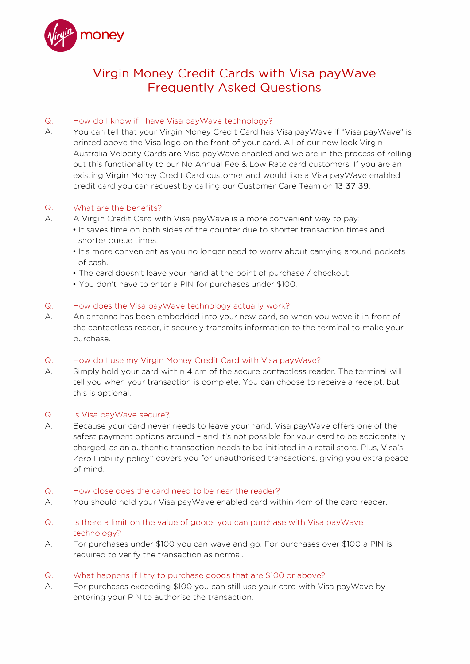

# **Virgin Money Credit Cards with Visa payWave Frequently Asked Questions**

# 0. How do I know if I have Visa payWave technology?

A. You can tell that your Virgin Money Credit Card has Visa payWave if "Visa payWave" is printed above the Visa logo on the front of your card. All of our new look Virgin Australia Velocity Cards are Visa payWave enabled and we are in the process of rolling out this functionality to our No Annual Fee & Low Rate card customers. If you are an existing Virgin Money Credit Card customer and would like a Visa payWave enabled credit card you can request by calling our Customer Care Team on 13 37 39.

## 0. What are the benefits?

- A. A Virgin Credit Card with Visa payWave is a more convenient way to pay:
	- It saves time on both sides of the counter due to shorter transaction times and shorter queue times.
	- It's more convenient as you no longer need to worry about carrying around pockets of cash.
	- The card doesn't leave your hand at the point of purchase/ checkout.
	- You don't have to enter a PIN for purchases under \$100.

## 0. How does the Visa payWave technology actually work?

A. An antenna has been embedded into your new card, so when you wave it in front of the contactless reader, it securely transmits information to the terminal to make your purchase.

## 0. How do I use my Virgin Money Credit Card with Visa payWave?

A. Simply hold your card within 4 cm of the secure contactless reader. The terminal will tell you when your transaction is complete. You can choose to receive a receipt, but this is optional.

## Q. Is Visa payWave secure?

A. Because your card never needs to leave your hand, Visa payWave offers one of the safest payment options around - and it's not possible for your card to be accidentally charged, as an authentic transaction needs to be initiated in a retail store. Plus, Visa's Zero Liability policy<sup>\*</sup> covers you for unauthorised transactions, giving you extra peace of mind.

### 0. How close does the card need to be near the reader?

- A. You should hold your Visa payWave enabled card within 4cm of the card reader.
- 0. Is there a limit on the value of goods you can purchase with Visa payWave technology?
- A. For purchases under \$100 you can wave and go. For purchases over \$100 a PIN is required to verify the transaction as normal.

## 0. What happens if I try to purchase goods that are \$100 or above?

A. For purchases exceeding \$100 you can still use your card with Visa payWave by entering your PIN to authorise the transaction.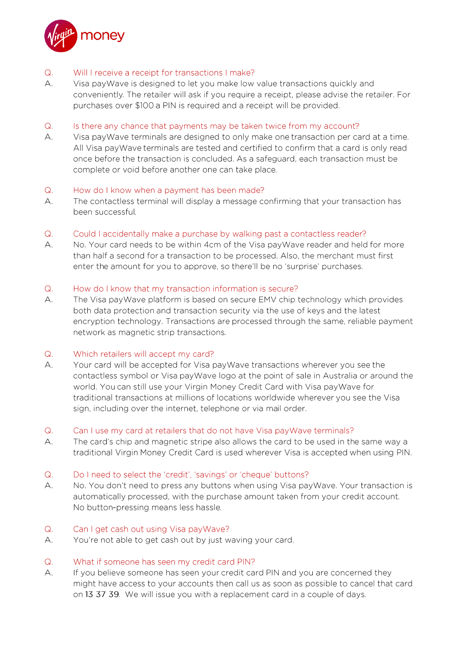

#### Will I receive a receipt for transactions I make?  $Q_{\cdot}$

 $A_{1}$ Visa pay Wave is designed to let you make low value transactions quickly and conveniently. The retailer will ask if you require a receipt, please advise the retailer. For purchases over \$100 a PIN is required and a receipt will be provided.

#### $Q_{1}$ Is there any chance that payments may be taken twice from my account?

А. Visa pay Waye terminals are designed to only make one transaction per card at a time. All Visa pay Wave terminals are tested and certified to confirm that a card is only read once before the transaction is concluded. As a safeguard, each transaction must be complete or void before another one can take place.

#### $Q_{\rm c}$ How do I know when a payment has been made?

The contactless terminal will display a message confirming that your transaction has А. been successful.

#### $Q_{\rm c}$ Could I accidentally make a purchase by walking past a contactless reader?

А. No. Your card needs to be within 4cm of the Visa payWave reader and held for more than half a second for a transaction to be processed. Also, the merchant must first enter the amount for you to approve, so there'll be no 'surprise' purchases.

#### $Q_{\cdot}$ How do I know that my transaction information is secure?

 $A.$ The Visa pay Wave platform is based on secure EMV chip technology which provides both data protection and transaction security via the use of keys and the latest encryption technology. Transactions are processed through the same, reliable payment network as magnetic strip transactions.

#### $Q_{\cdot}$ Which retailers will accept my card?

Your card will be accepted for Visa payWave transactions wherever you see the Α. contactless symbol or Visa payWaye logo at the point of sale in Australia or around the world. You can still use your Virgin Money Credit Card with Visa pay Wave for traditional transactions at millions of locations worldwide wherever you see the Visa sign, including over the internet, telephone or via mail order.

#### $Q_{1}$ Can I use my card at retailers that do not have Visa pay Wave terminals?

А. The card's chip and magnetic stripe also allows the card to be used in the same way a traditional Virgin Money Credit Card is used wherever Visa is accepted when using PIN.

#### $Q_{\cdot}$ Do I need to select the 'credit', 'savings' or 'cheque' buttons?

А. No. You don't need to press any buttons when using Visa payWave. Your transaction is automatically processed, with the purchase amount taken from your credit account. No button-pressing means less hassle.

#### $Q_{\cdot}$ Can I get cash out using Visa pay Wave?

 $A_{1}$ You're not able to get cash out by just waving your card.

#### $Q_{\cdot}$ What if someone has seen my credit card PIN?

If you believe someone has seen your credit card PIN and you are concerned they А. might have access to your accounts then call us as soon as possible to cancel that card on 13 37 39. We will issue you with a replacement card in a couple of days.